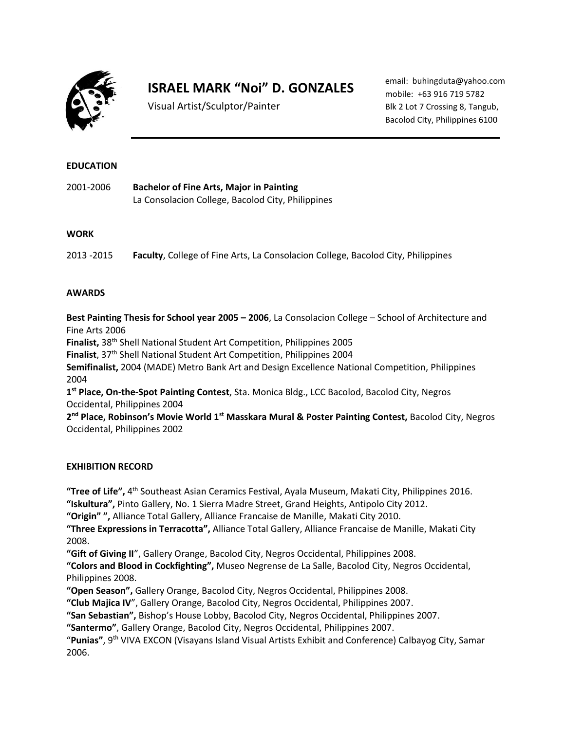

# **ISRAEL MARK "Noi" D. GONZALES**

Visual Artist/Sculptor/Painter

email: [buhingduta@yahoo.com](mailto:buhingduta@yahoo.com) mobile: +63 916 719 5782 Blk 2 Lot 7 Crossing 8, Tangub, Bacolod City, Philippines 6100

### **EDUCATION**

2001-2006 **Bachelor of Fine Arts, Major in Painting** La Consolacion College, Bacolod City, Philippines

#### **WORK**

2013 -2015 **Faculty**, College of Fine Arts, La Consolacion College, Bacolod City, Philippines

#### **AWARDS**

**Best Painting Thesis for School year 2005 – 2006**, La Consolacion College – School of Architecture and Fine Arts 2006

**Finalist,** 38th Shell National Student Art Competition, Philippines 2005

Finalist, 37<sup>th</sup> Shell National Student Art Competition, Philippines 2004

**Semifinalist,** 2004 (MADE) Metro Bank Art and Design Excellence National Competition, Philippines 2004

**1 st Place, On-the-Spot Painting Contest**, Sta. Monica Bldg., LCC Bacolod, Bacolod City, Negros Occidental, Philippines 2004

**2 nd Place, Robinson's Movie World 1st Masskara Mural & Poster Painting Contest,** Bacolod City, Negros Occidental, Philippines 2002

## **EXHIBITION RECORD**

**"Tree of Life",** 4 th Southeast Asian Ceramics Festival, Ayala Museum, Makati City, Philippines 2016. **"Iskultura",** Pinto Gallery, No. 1 Sierra Madre Street, Grand Heights, Antipolo City 2012.

**"Origin" ",** Alliance Total Gallery, Alliance Francaise de Manille, Makati City 2010.

**"Three Expressions in Terracotta",** Alliance Total Gallery, Alliance Francaise de Manille, Makati City 2008.

**"Gift of Giving II**", Gallery Orange, Bacolod City, Negros Occidental, Philippines 2008.

**"Colors and Blood in Cockfighting",** Museo Negrense de La Salle, Bacolod City, Negros Occidental, Philippines 2008.

**"Open Season",** Gallery Orange, Bacolod City, Negros Occidental, Philippines 2008.

**"Club Majica IV**", Gallery Orange, Bacolod City, Negros Occidental, Philippines 2007.

**"San Sebastian",** Bishop's House Lobby, Bacolod City, Negros Occidental, Philippines 2007.

**"Santermo"**, Gallery Orange, Bacolod City, Negros Occidental, Philippines 2007.

"**Punias"**, 9th VIVA EXCON (Visayans Island Visual Artists Exhibit and Conference) Calbayog City, Samar 2006.